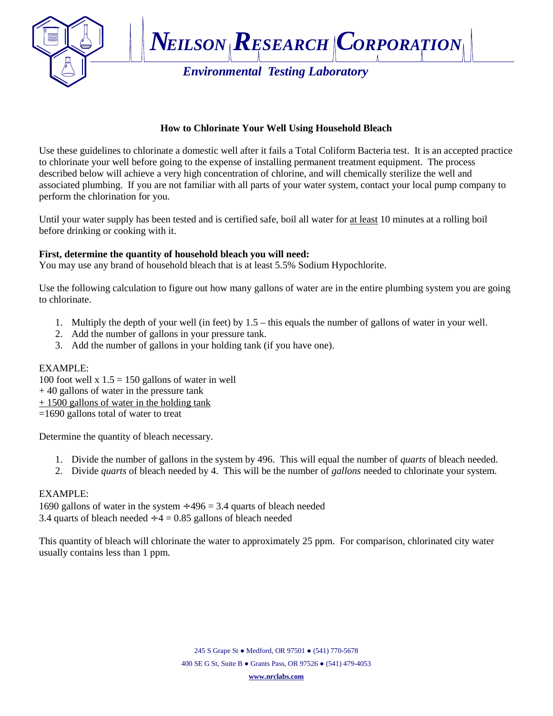

# **How to Chlorinate Your Well Using Household Bleach**

Use these guidelines to chlorinate a domestic well after it fails a Total Coliform Bacteria test. It is an accepted practice to chlorinate your well before going to the expense of installing permanent treatment equipment. The process described below will achieve a very high concentration of chlorine, and will chemically sterilize the well and associated plumbing. If you are not familiar with all parts of your water system, contact your local pump company to perform the chlorination for you.

Until your water supply has been tested and is certified safe, boil all water for at least 10 minutes at a rolling boil before drinking or cooking with it.

# **First, determine the quantity of household bleach you will need:**

You may use any brand of household bleach that is at least 5.5% Sodium Hypochlorite.

Use the following calculation to figure out how many gallons of water are in the entire plumbing system you are going to chlorinate.

- 1. Multiply the depth of your well (in feet) by 1.5 this equals the number of gallons of water in your well.
- 2. Add the number of gallons in your pressure tank.
- 3. Add the number of gallons in your holding tank (if you have one).

# EXAMPLE:

100 foot well  $x 1.5 = 150$  gallons of water in well  $+ 40$  gallons of water in the pressure tank + 1500 gallons of water in the holding tank =1690 gallons total of water to treat

Determine the quantity of bleach necessary.

- 1. Divide the number of gallons in the system by 496. This will equal the number of *quarts* of bleach needed.
- 2. Divide *quarts* of bleach needed by 4. This will be the number of *gallons* needed to chlorinate your system.

# EXAMPLE:

1690 gallons of water in the system,  $496 = 3.4$  quarts of bleach needed 3.4 quarts of bleach needed  $4 = 0.85$  gallons of bleach needed

This quantity of bleach will chlorinate the water to approximately 25 ppm. For comparison, chlorinated city water usually contains less than 1 ppm.

#### **[www.nrclabs.com](http://www.nrclabs.com)**